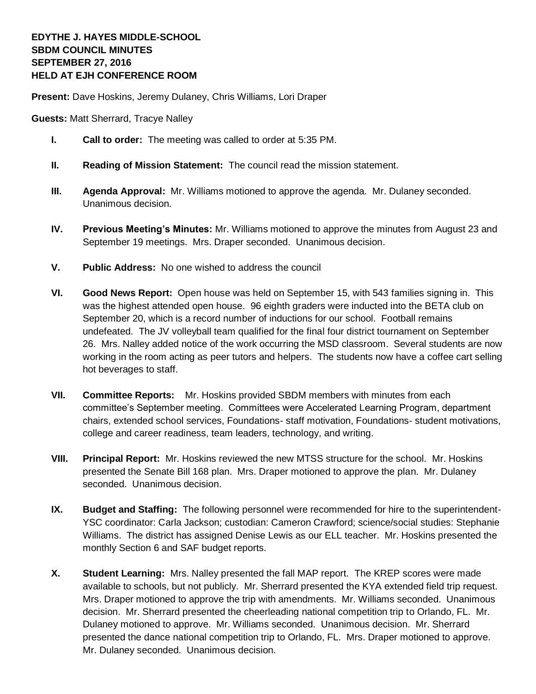## **EDYTHE J. HAYES MIDDLE-SCHOOL SBDM COUNCIL MINUTES SEPTEMBER 27, 2016 HELD AT EJH CONFERENCE ROOM**

**Present:** Dave Hoskins, Jeremy Dulaney, Chris Williams, Lori Draper

**Guests:** Matt Sherrard, Tracye Nalley

- **I. Call to order:** The meeting was called to order at 5:35 PM.
- **II. Reading of Mission Statement:** The council read the mission statement.
- **III. Agenda Approval:** Mr. Williams motioned to approve the agenda. Mr. Dulaney seconded. Unanimous decision.
- **IV. Previous Meeting's Minutes:** Mr. Williams motioned to approve the minutes from August 23 and September 19 meetings. Mrs. Draper seconded. Unanimous decision.
- **V. Public Address:** No one wished to address the council
- **VI. Good News Report:** Open house was held on September 15, with 543 families signing in. This was the highest attended open house. 96 eighth graders were inducted into the BETA club on September 20, which is a record number of inductions for our school. Football remains undefeated. The JV volleyball team qualified for the final four district tournament on September 26. Mrs. Nalley added notice of the work occurring the MSD classroom. Several students are now working in the room acting as peer tutors and helpers. The students now have a coffee cart selling hot beverages to staff.
- **VII. Committee Reports:** Mr. Hoskins provided SBDM members with minutes from each committee's September meeting. Committees were Accelerated Learning Program, department chairs, extended school services, Foundations- staff motivation, Foundations- student motivations, college and career readiness, team leaders, technology, and writing.
- **VIII. Principal Report:** Mr. Hoskins reviewed the new MTSS structure for the school. Mr. Hoskins presented the Senate Bill 168 plan. Mrs. Draper motioned to approve the plan. Mr. Dulaney seconded. Unanimous decision.
- **IX. Budget and Staffing:** The following personnel were recommended for hire to the superintendent-YSC coordinator: Carla Jackson; custodian: Cameron Crawford; science/social studies: Stephanie Williams. The district has assigned Denise Lewis as our ELL teacher. Mr. Hoskins presented the monthly Section 6 and SAF budget reports.
- **X. Student Learning:** Mrs. Nalley presented the fall MAP report. The KREP scores were made available to schools, but not publicly. Mr. Sherrard presented the KYA extended field trip request. Mrs. Draper motioned to approve the trip with amendments. Mr. Williams seconded. Unanimous decision. Mr. Sherrard presented the cheerleading national competition trip to Orlando, FL. Mr. Dulaney motioned to approve. Mr. Williams seconded. Unanimous decision. Mr. Sherrard presented the dance national competition trip to Orlando, FL. Mrs. Draper motioned to approve. Mr. Dulaney seconded. Unanimous decision.